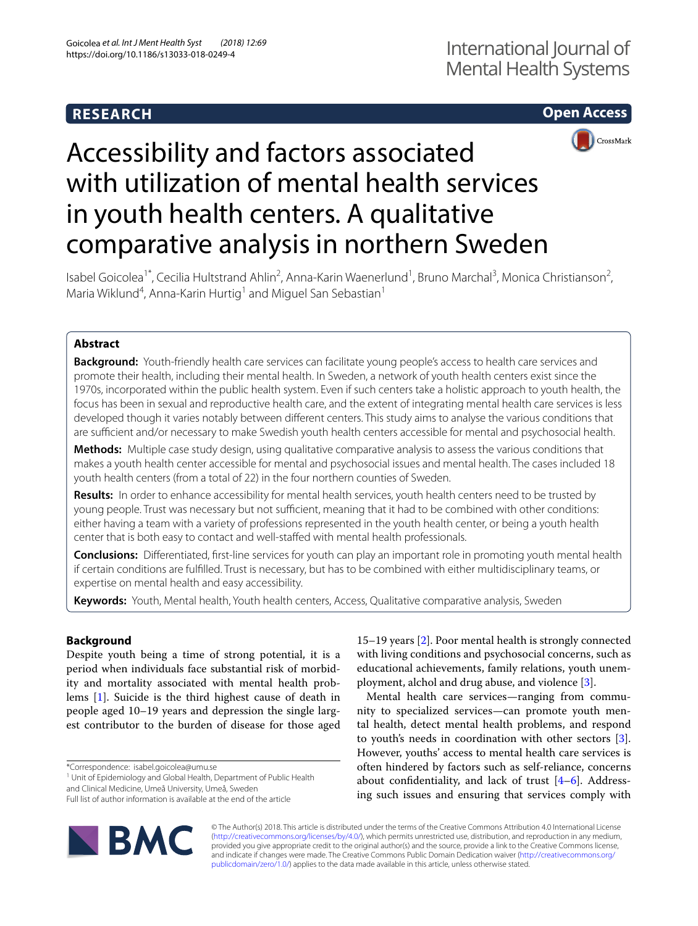# **RESEARCH**



**Open Access**

# Accessibility and factors associated with utilization of mental health services in youth health centers. A qualitative comparative analysis in northern Sweden

Isabel Goicolea<sup>1\*</sup>, Cecilia Hultstrand Ahlin<sup>2</sup>, Anna-Karin Waenerlund<sup>1</sup>, Bruno Marchal<sup>3</sup>, Monica Christianson<sup>2</sup>, Maria Wiklund<sup>4</sup>, Anna-Karin Hurtig<sup>1</sup> and Miguel San Sebastian<sup>1</sup>

# **Abstract**

**Background:** Youth-friendly health care services can facilitate young people's access to health care services and promote their health, including their mental health. In Sweden, a network of youth health centers exist since the 1970s, incorporated within the public health system. Even if such centers take a holistic approach to youth health, the focus has been in sexual and reproductive health care, and the extent of integrating mental health care services is less developed though it varies notably between diferent centers. This study aims to analyse the various conditions that are sufficient and/or necessary to make Swedish youth health centers accessible for mental and psychosocial health.

**Methods:** Multiple case study design, using qualitative comparative analysis to assess the various conditions that makes a youth health center accessible for mental and psychosocial issues and mental health. The cases included 18 youth health centers (from a total of 22) in the four northern counties of Sweden.

**Results:** In order to enhance accessibility for mental health services, youth health centers need to be trusted by young people. Trust was necessary but not sufficient, meaning that it had to be combined with other conditions: either having a team with a variety of professions represented in the youth health center, or being a youth health center that is both easy to contact and well-stafed with mental health professionals.

**Conclusions:** Diferentiated, frst-line services for youth can play an important role in promoting youth mental health if certain conditions are fulflled. Trust is necessary, but has to be combined with either multidisciplinary teams, or expertise on mental health and easy accessibility.

**Keywords:** Youth, Mental health, Youth health centers, Access, Qualitative comparative analysis, Sweden

# **Background**

Despite youth being a time of strong potential, it is a period when individuals face substantial risk of morbidity and mortality associated with mental health problems [[1\]](#page-8-0). Suicide is the third highest cause of death in people aged 10–19 years and depression the single largest contributor to the burden of disease for those aged

\*Correspondence: isabel.goicolea@umu.se

<sup>1</sup> Unit of Epidemiology and Global Health, Department of Public Health and Clinical Medicine, Umeå University, Umeå, Sweden

Full list of author information is available at the end of the article



15–19 years [\[2\]](#page-8-1). Poor mental health is strongly connected with living conditions and psychosocial concerns, such as educational achievements, family relations, youth unemployment, alchol and drug abuse, and violence [[3](#page-8-2)].

Mental health care services—ranging from community to specialized services—can promote youth mental health, detect mental health problems, and respond to youth's needs in coordination with other sectors [\[3](#page-8-2)]. However, youths' access to mental health care services is often hindered by factors such as self-reliance, concerns about confidentiality, and lack of trust  $[4-6]$  $[4-6]$ . Addressing such issues and ensuring that services comply with

© The Author(s) 2018. This article is distributed under the terms of the Creative Commons Attribution 4.0 International License [\(http://creativecommons.org/licenses/by/4.0/\)](http://creativecommons.org/licenses/by/4.0/), which permits unrestricted use, distribution, and reproduction in any medium, provided you give appropriate credit to the original author(s) and the source, provide a link to the Creative Commons license, and indicate if changes were made. The Creative Commons Public Domain Dedication waiver ([http://creativecommons.org/](http://creativecommons.org/publicdomain/zero/1.0/) [publicdomain/zero/1.0/](http://creativecommons.org/publicdomain/zero/1.0/)) applies to the data made available in this article, unless otherwise stated.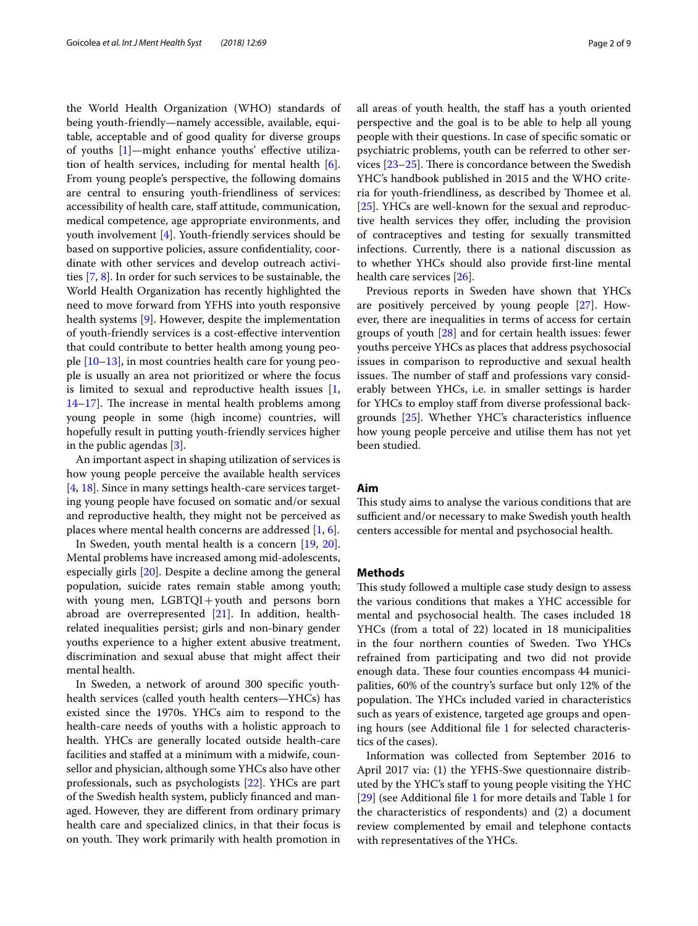the World Health Organization (WHO) standards of being youth-friendly—namely accessible, available, equitable, acceptable and of good quality for diverse groups of youths [\[1](#page-8-0)]—might enhance youths' efective utilization of health services, including for mental health [\[6](#page-8-4)]. From young people's perspective, the following domains are central to ensuring youth-friendliness of services: accessibility of health care, staf attitude, communication, medical competence, age appropriate environments, and youth involvement [[4\]](#page-8-3). Youth-friendly services should be based on supportive policies, assure confdentiality, coordinate with other services and develop outreach activities [\[7](#page-8-5), [8\]](#page-8-6). In order for such services to be sustainable, the World Health Organization has recently highlighted the need to move forward from YFHS into youth responsive health systems [[9\]](#page-8-7). However, despite the implementation of youth-friendly services is a cost-efective intervention that could contribute to better health among young people [[10](#page-8-8)[–13](#page-8-9)], in most countries health care for young people is usually an area not prioritized or where the focus is limited to sexual and reproductive health issues [\[1](#page-8-0),  $14-17$  $14-17$ . The increase in mental health problems among young people in some (high income) countries, will hopefully result in putting youth-friendly services higher in the public agendas [\[3](#page-8-2)].

An important aspect in shaping utilization of services is how young people perceive the available health services [[4,](#page-8-3) [18](#page-8-12)]. Since in many settings health-care services targeting young people have focused on somatic and/or sexual and reproductive health, they might not be perceived as places where mental health concerns are addressed [\[1](#page-8-0), [6](#page-8-4)].

In Sweden, youth mental health is a concern [[19,](#page-8-13) [20](#page-8-14)]. Mental problems have increased among mid-adolescents, especially girls [[20](#page-8-14)]. Despite a decline among the general population, suicide rates remain stable among youth; with young men, LGBTQI+youth and persons born abroad are overrepresented [\[21\]](#page-8-15). In addition, healthrelated inequalities persist; girls and non-binary gender youths experience to a higher extent abusive treatment, discrimination and sexual abuse that might afect their mental health.

In Sweden, a network of around 300 specifc youthhealth services (called youth health centers—YHCs) has existed since the 1970s. YHCs aim to respond to the health-care needs of youths with a holistic approach to health. YHCs are generally located outside health-care facilities and stafed at a minimum with a midwife, counsellor and physician, although some YHCs also have other professionals, such as psychologists [\[22](#page-8-16)]. YHCs are part of the Swedish health system, publicly fnanced and managed. However, they are diferent from ordinary primary health care and specialized clinics, in that their focus is on youth. They work primarily with health promotion in all areas of youth health, the staf has a youth oriented perspective and the goal is to be able to help all young people with their questions. In case of specifc somatic or psychiatric problems, youth can be referred to other services  $[23-25]$  $[23-25]$  $[23-25]$ . There is concordance between the Swedish YHC's handbook published in 2015 and the WHO criteria for youth-friendliness, as described by Thomee et al. [[25\]](#page-8-18). YHCs are well-known for the sexual and reproductive health services they offer, including the provision of contraceptives and testing for sexually transmitted infections. Currently, there is a national discussion as to whether YHCs should also provide frst-line mental health care services [[26\]](#page-8-19).

Previous reports in Sweden have shown that YHCs are positively perceived by young people [\[27](#page-8-20)]. However, there are inequalities in terms of access for certain groups of youth [[28\]](#page-8-21) and for certain health issues: fewer youths perceive YHCs as places that address psychosocial issues in comparison to reproductive and sexual health issues. The number of staff and professions vary considerably between YHCs, i.e. in smaller settings is harder for YHCs to employ staff from diverse professional backgrounds [[25\]](#page-8-18). Whether YHC's characteristics infuence how young people perceive and utilise them has not yet been studied.

# **Aim**

This study aims to analyse the various conditions that are sufficient and/or necessary to make Swedish youth health centers accessible for mental and psychosocial health.

## **Methods**

This study followed a multiple case study design to assess the various conditions that makes a YHC accessible for mental and psychosocial health. The cases included 18 YHCs (from a total of 22) located in 18 municipalities in the four northern counties of Sweden. Two YHCs refrained from participating and two did not provide enough data. These four counties encompass 44 municipalities, 60% of the country's surface but only 12% of the population. The YHCs included varied in characteristics such as years of existence, targeted age groups and opening hours (see Additional fle [1](#page-7-0) for selected characteristics of the cases).

Information was collected from September 2016 to April 2017 via: (1) the YFHS-Swe questionnaire distributed by the YHC's staf to young people visiting the YHC [[29\]](#page-8-22) (see Additional file [1](#page-7-0) for more details and Table [1](#page-2-0) for the characteristics of respondents) and (2) a document review complemented by email and telephone contacts with representatives of the YHCs.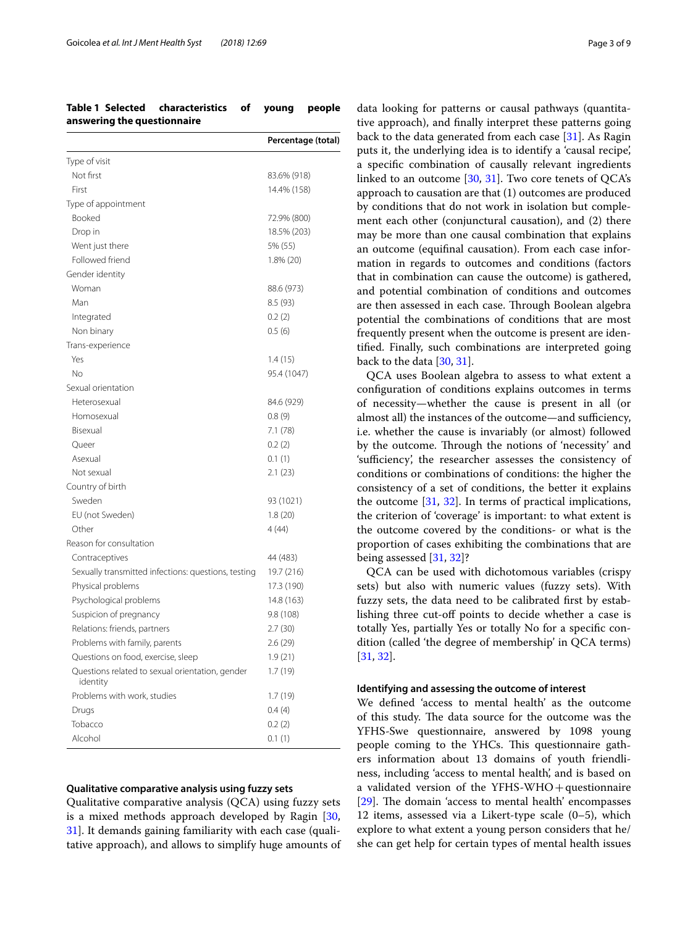<span id="page-2-0"></span>**Table 1 Selected characteristics of young people answering the questionnaire**

|                                                             | Percentage (total) |
|-------------------------------------------------------------|--------------------|
| Type of visit                                               |                    |
| Not first                                                   | 83.6% (918)        |
| First                                                       | 14.4% (158)        |
| Type of appointment                                         |                    |
| <b>Booked</b>                                               | 72.9% (800)        |
| Drop in                                                     | 18.5% (203)        |
| Went just there                                             | 5% (55)            |
| Followed friend                                             | 1.8% (20)          |
| Gender identity                                             |                    |
| Woman                                                       | 88.6 (973)         |
| Man                                                         | 8.5(93)            |
| Integrated                                                  | 0.2(2)             |
| Non binary                                                  | 0.5(6)             |
| Trans-experience                                            |                    |
| Yes                                                         | 1.4(15)            |
| N <sub>o</sub>                                              | 95.4 (1047)        |
| Sexual orientation                                          |                    |
| Heterosexual                                                | 84.6 (929)         |
| Homosexual                                                  | 0.8(9)             |
| Bisexual                                                    | 7.1(78)            |
| Queer                                                       | 0.2(2)             |
| Asexual                                                     | 0.1(1)             |
| Not sexual                                                  | 2.1(23)            |
| Country of birth                                            |                    |
| Sweden                                                      | 93 (1021)          |
| EU (not Sweden)                                             | 1.8(20)            |
| Other                                                       | 4(44)              |
| Reason for consultation                                     |                    |
| Contraceptives                                              | 44 (483)           |
| Sexually transmitted infections: questions, testing         | 19.7 (216)         |
| Physical problems                                           | 17.3 (190)         |
| Psychological problems                                      | 14.8 (163)         |
| Suspicion of pregnancy                                      | 9.8(108)           |
| Relations: friends, partners                                | 2.7(30)            |
| Problems with family, parents                               | 2.6(29)            |
| Questions on food, exercise, sleep                          | 1.9(21)            |
| Questions related to sexual orientation, gender<br>identity | 1.7(19)            |
| Problems with work, studies                                 | 1.7(19)            |
| Drugs                                                       | 0.4(4)             |
| Tobacco                                                     | 0.2(2)             |
| Alcohol                                                     | 0.1(1)             |

#### **Qualitative comparative analysis using fuzzy sets**

Qualitative comparative analysis (QCA) using fuzzy sets is a mixed methods approach developed by Ragin [\[30](#page-8-23), [31\]](#page-8-24). It demands gaining familiarity with each case (qualitative approach), and allows to simplify huge amounts of

data looking for patterns or causal pathways (quantitative approach), and fnally interpret these patterns going back to the data generated from each case [[31](#page-8-24)]. As Ragin puts it, the underlying idea is to identify a 'causal recipe', a specifc combination of causally relevant ingredients linked to an outcome [\[30,](#page-8-23) [31\]](#page-8-24). Two core tenets of QCA's approach to causation are that (1) outcomes are produced by conditions that do not work in isolation but complement each other (conjunctural causation), and (2) there may be more than one causal combination that explains an outcome (equifnal causation). From each case information in regards to outcomes and conditions (factors that in combination can cause the outcome) is gathered, and potential combination of conditions and outcomes are then assessed in each case. Through Boolean algebra potential the combinations of conditions that are most frequently present when the outcome is present are identifed. Finally, such combinations are interpreted going back to the data [[30,](#page-8-23) [31](#page-8-24)].

QCA uses Boolean algebra to assess to what extent a confguration of conditions explains outcomes in terms of necessity—whether the cause is present in all (or almost all) the instances of the outcome—and sufficiency, i.e. whether the cause is invariably (or almost) followed by the outcome. Through the notions of 'necessity' and 'sufficiency', the researcher assesses the consistency of conditions or combinations of conditions: the higher the consistency of a set of conditions, the better it explains the outcome [\[31](#page-8-24), [32](#page-8-25)]. In terms of practical implications, the criterion of 'coverage' is important: to what extent is the outcome covered by the conditions- or what is the proportion of cases exhibiting the combinations that are being assessed [\[31](#page-8-24), [32\]](#page-8-25)?

QCA can be used with dichotomous variables (crispy sets) but also with numeric values (fuzzy sets). With fuzzy sets, the data need to be calibrated frst by establishing three cut-off points to decide whether a case is totally Yes, partially Yes or totally No for a specifc condition (called 'the degree of membership' in QCA terms) [[31,](#page-8-24) [32](#page-8-25)].

## **Identifying and assessing the outcome of interest**

We defned 'access to mental health' as the outcome of this study. The data source for the outcome was the YFHS-Swe questionnaire, answered by 1098 young people coming to the YHCs. This questionnaire gathers information about 13 domains of youth friendliness, including 'access to mental health', and is based on a validated version of the YFHS-WHO + questionnaire  $[29]$  $[29]$ . The domain 'access to mental health' encompasses 12 items, assessed via a Likert-type scale (0–5), which explore to what extent a young person considers that he/ she can get help for certain types of mental health issues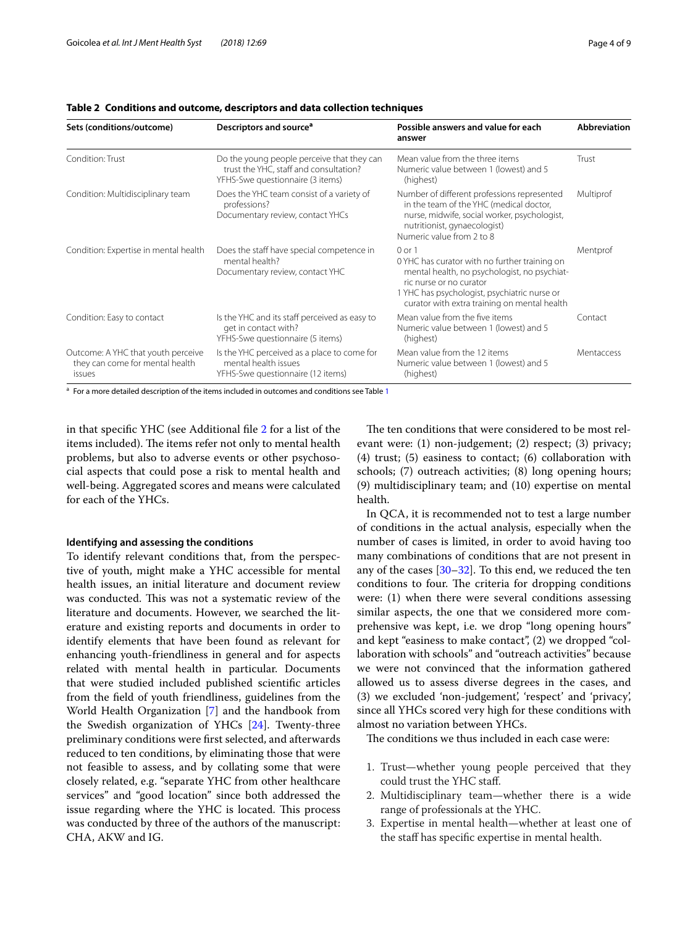| Sets (conditions/outcome)                                                       | Descriptors and source <sup>a</sup>                                                                                      | Possible answers and value for each<br>answer                                                                                                                                                                                                 | <b>Abbreviation</b> |
|---------------------------------------------------------------------------------|--------------------------------------------------------------------------------------------------------------------------|-----------------------------------------------------------------------------------------------------------------------------------------------------------------------------------------------------------------------------------------------|---------------------|
| Condition: Trust                                                                | Do the young people perceive that they can<br>trust the YHC, staff and consultation?<br>YFHS-Swe questionnaire (3 items) | Mean value from the three items<br>Numeric value between 1 (lowest) and 5<br>(highest)                                                                                                                                                        | Trust               |
| Condition: Multidisciplinary team                                               | Does the YHC team consist of a variety of<br>professions?<br>Documentary review, contact YHCs                            | Number of different professions represented<br>in the team of the YHC (medical doctor,<br>nurse, midwife, social worker, psychologist,<br>nutritionist, gynaecologist)<br>Numeric value from 2 to 8                                           | Multiprof           |
| Condition: Expertise in mental health                                           | Does the staff have special competence in<br>mental health?<br>Documentary review, contact YHC                           | $0 \text{ or } 1$<br>0 YHC has curator with no further training on<br>mental health, no psychologist, no psychiat-<br>ric nurse or no curator<br>1 YHC has psychologist, psychiatric nurse or<br>curator with extra training on mental health | Mentprof            |
| Condition: Easy to contact                                                      | Is the YHC and its staff perceived as easy to<br>get in contact with?<br>YFHS-Swe questionnaire (5 items)                | Mean value from the five items<br>Numeric value between 1 (lowest) and 5<br>(highest)                                                                                                                                                         | Contact             |
| Outcome: A YHC that youth perceive<br>they can come for mental health<br>issues | Is the YHC perceived as a place to come for<br>mental health issues<br>YFHS-Swe questionnaire (12 items)                 | Mean value from the 12 items<br>Numeric value between 1 (lowest) and 5<br>(highest)                                                                                                                                                           | Mentaccess          |

### <span id="page-3-0"></span>**Table 2 Conditions and outcome, descriptors and data collection techniques**

<sup>a</sup> For a more detailed description of the items included in outcomes and conditions see Table [1](#page-2-0)

in that specifc YHC (see Additional fle [2](#page-7-1) for a list of the items included). The items refer not only to mental health problems, but also to adverse events or other psychosocial aspects that could pose a risk to mental health and well-being. Aggregated scores and means were calculated for each of the YHCs.

#### **Identifying and assessing the conditions**

To identify relevant conditions that, from the perspective of youth, might make a YHC accessible for mental health issues, an initial literature and document review was conducted. This was not a systematic review of the literature and documents. However, we searched the literature and existing reports and documents in order to identify elements that have been found as relevant for enhancing youth-friendliness in general and for aspects related with mental health in particular. Documents that were studied included published scientifc articles from the feld of youth friendliness, guidelines from the World Health Organization [\[7](#page-8-5)] and the handbook from the Swedish organization of YHCs [[24\]](#page-8-26). Twenty-three preliminary conditions were frst selected, and afterwards reduced to ten conditions, by eliminating those that were not feasible to assess, and by collating some that were closely related, e.g. "separate YHC from other healthcare services" and "good location" since both addressed the issue regarding where the YHC is located. This process was conducted by three of the authors of the manuscript: CHA, AKW and IG.

The ten conditions that were considered to be most relevant were: (1) non-judgement; (2) respect; (3) privacy; (4) trust; (5) easiness to contact; (6) collaboration with schools; (7) outreach activities; (8) long opening hours; (9) multidisciplinary team; and (10) expertise on mental health.

In QCA, it is recommended not to test a large number of conditions in the actual analysis, especially when the number of cases is limited, in order to avoid having too many combinations of conditions that are not present in any of the cases  $[30-32]$  $[30-32]$  $[30-32]$ . To this end, we reduced the ten conditions to four. The criteria for dropping conditions were: (1) when there were several conditions assessing similar aspects, the one that we considered more comprehensive was kept, i.e. we drop "long opening hours" and kept "easiness to make contact", (2) we dropped "collaboration with schools" and "outreach activities" because we were not convinced that the information gathered allowed us to assess diverse degrees in the cases, and (3) we excluded 'non-judgement', 'respect' and 'privacy', since all YHCs scored very high for these conditions with almost no variation between YHCs.

The conditions we thus included in each case were:

- 1. Trust—whether young people perceived that they could trust the YHC staf.
- 2. Multidisciplinary team—whether there is a wide range of professionals at the YHC.
- 3. Expertise in mental health—whether at least one of the staff has specific expertise in mental health.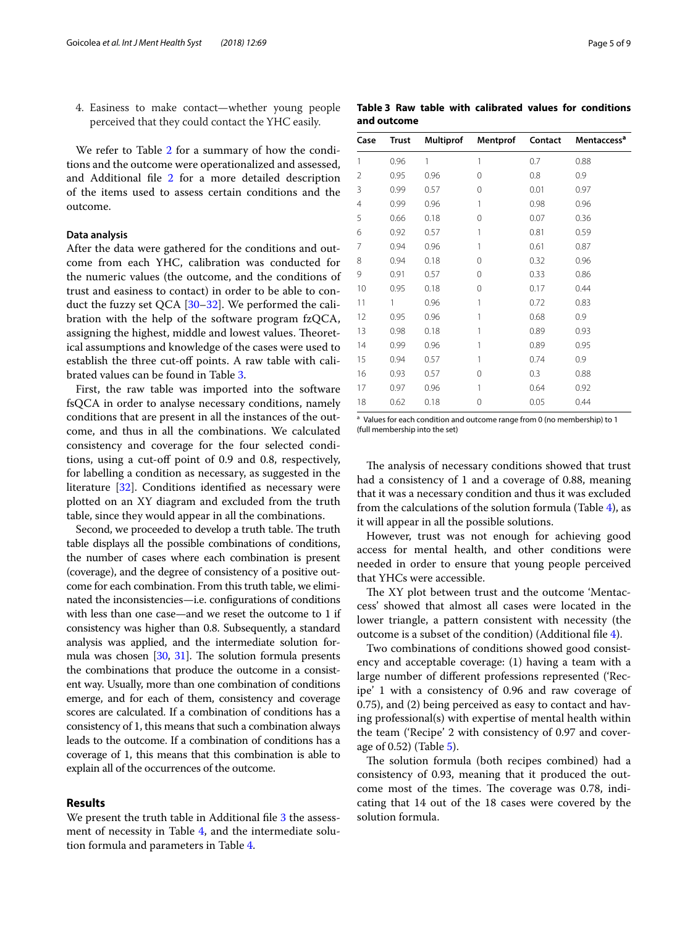4. Easiness to make contact—whether young people perceived that they could contact the YHC easily.

We refer to Table [2](#page-3-0) for a summary of how the conditions and the outcome were operationalized and assessed, and Additional file [2](#page-7-1) for a more detailed description of the items used to assess certain conditions and the outcome.

# **Data analysis**

After the data were gathered for the conditions and outcome from each YHC, calibration was conducted for the numeric values (the outcome, and the conditions of trust and easiness to contact) in order to be able to conduct the fuzzy set QCA [\[30](#page-8-23)[–32](#page-8-25)]. We performed the calibration with the help of the software program fzQCA, assigning the highest, middle and lowest values. Theoretical assumptions and knowledge of the cases were used to establish the three cut-off points. A raw table with calibrated values can be found in Table [3.](#page-4-0)

First, the raw table was imported into the software fsQCA in order to analyse necessary conditions, namely conditions that are present in all the instances of the outcome, and thus in all the combinations. We calculated consistency and coverage for the four selected conditions, using a cut-off point of 0.9 and 0.8, respectively, for labelling a condition as necessary, as suggested in the literature [[32\]](#page-8-25). Conditions identifed as necessary were plotted on an XY diagram and excluded from the truth table, since they would appear in all the combinations.

Second, we proceeded to develop a truth table. The truth table displays all the possible combinations of conditions, the number of cases where each combination is present (coverage), and the degree of consistency of a positive outcome for each combination. From this truth table, we eliminated the inconsistencies—i.e. confgurations of conditions with less than one case—and we reset the outcome to 1 if consistency was higher than 0.8. Subsequently, a standard analysis was applied, and the intermediate solution formula was chosen  $[30, 31]$  $[30, 31]$  $[30, 31]$  $[30, 31]$ . The solution formula presents the combinations that produce the outcome in a consistent way. Usually, more than one combination of conditions emerge, and for each of them, consistency and coverage scores are calculated. If a combination of conditions has a consistency of 1, this means that such a combination always leads to the outcome. If a combination of conditions has a coverage of 1, this means that this combination is able to explain all of the occurrences of the outcome.

# **Results**

We present the truth table in Additional file [3](#page-7-2) the assessment of necessity in Table [4](#page-5-0), and the intermediate solution formula and parameters in Table [4.](#page-5-0)

<span id="page-4-0"></span>**Table 3 Raw table with calibrated values for conditions and outcome**

| Case | Trust | Multiprof | Mentprof | Contact | <b>Mentaccess<sup>a</sup></b> |
|------|-------|-----------|----------|---------|-------------------------------|
| 1    | 0.96  | 1         | 1        | 0.7     | 0.88                          |
| 2    | 0.95  | 0.96      | 0        | 0.8     | 0.9                           |
| 3    | 0.99  | 0.57      | 0        | 0.01    | 0.97                          |
| 4    | 0.99  | 0.96      | 1        | 0.98    | 0.96                          |
| 5    | 0.66  | 0.18      | 0        | 0.07    | 0.36                          |
| 6    | 0.92  | 0.57      | 1        | 0.81    | 0.59                          |
| 7    | 0.94  | 0.96      | 1        | 0.61    | 0.87                          |
| 8    | 0.94  | 0.18      | 0        | 0.32    | 0.96                          |
| 9    | 0.91  | 0.57      | 0        | 0.33    | 0.86                          |
| 10   | 0.95  | 0.18      | 0        | 0.17    | 0.44                          |
| 11   | 1     | 0.96      | 1        | 0.72    | 0.83                          |
| 12   | 0.95  | 0.96      | 1        | 0.68    | 0.9                           |
| 13   | 0.98  | 0.18      | 1        | 0.89    | 0.93                          |
| 14   | 0.99  | 0.96      | 1        | 0.89    | 0.95                          |
| 15   | 0.94  | 0.57      | 1        | 0.74    | 0.9                           |
| 16   | 0.93  | 0.57      | $\Omega$ | 0.3     | 0.88                          |
| 17   | 0.97  | 0.96      | 1        | 0.64    | 0.92                          |
| 18   | 0.62  | 0.18      | $\Omega$ | 0.05    | 0.44                          |

<sup>a</sup> Values for each condition and outcome range from 0 (no membership) to 1 (full membership into the set)

The analysis of necessary conditions showed that trust had a consistency of 1 and a coverage of 0.88, meaning that it was a necessary condition and thus it was excluded from the calculations of the solution formula (Table [4](#page-5-0)), as it will appear in all the possible solutions.

However, trust was not enough for achieving good access for mental health, and other conditions were needed in order to ensure that young people perceived that YHCs were accessible.

The XY plot between trust and the outcome 'Mentaccess' showed that almost all cases were located in the lower triangle, a pattern consistent with necessity (the outcome is a subset of the condition) (Additional fle [4\)](#page-7-3).

Two combinations of conditions showed good consistency and acceptable coverage: (1) having a team with a large number of diferent professions represented ('Recipe' 1 with a consistency of 0.96 and raw coverage of 0.75), and (2) being perceived as easy to contact and having professional(s) with expertise of mental health within the team ('Recipe' 2 with consistency of 0.97 and coverage of 0.52) (Table [5](#page-5-1)).

The solution formula (both recipes combined) had a consistency of 0.93, meaning that it produced the outcome most of the times. The coverage was 0.78, indicating that 14 out of the 18 cases were covered by the solution formula.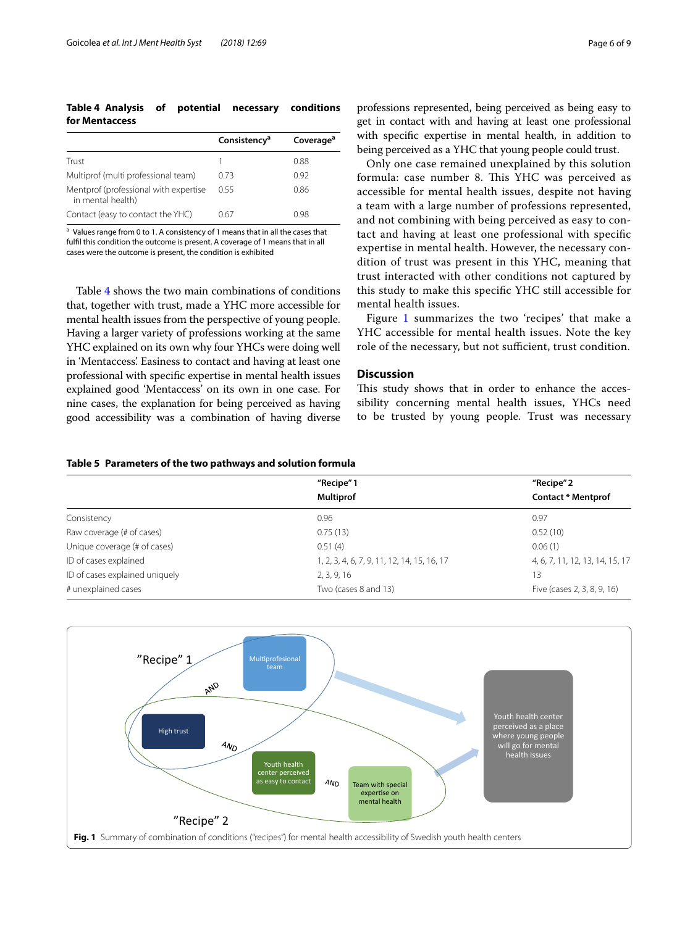<span id="page-5-0"></span>

|                                                            | Consistency <sup>a</sup> | Coverage <sup>a</sup> |
|------------------------------------------------------------|--------------------------|-----------------------|
| Trust                                                      |                          | 0.88                  |
| Multiprof (multi professional team)                        | 0.73                     | በ 92                  |
| Mentprof (professional with expertise<br>in mental health) | 0.55                     | 0.86                  |
| Contact (easy to contact the YHC)                          | 067                      | በ 98                  |

<sup>a</sup> Values range from 0 to 1. A consistency of 1 means that in all the cases that fulfl this condition the outcome is present. A coverage of 1 means that in all cases were the outcome is present, the condition is exhibited

Table [4](#page-5-0) shows the two main combinations of conditions that, together with trust, made a YHC more accessible for mental health issues from the perspective of young people. Having a larger variety of professions working at the same YHC explained on its own why four YHCs were doing well in 'Mentaccess'. Easiness to contact and having at least one professional with specifc expertise in mental health issues explained good 'Mentaccess' on its own in one case. For nine cases, the explanation for being perceived as having good accessibility was a combination of having diverse

#### <span id="page-5-1"></span>**Table 5 Parameters of the two pathways and solution formula**

|                                | "Recipe" 1                                  | "Recipe" 2                      |  |  |  |
|--------------------------------|---------------------------------------------|---------------------------------|--|--|--|
|                                | <b>Multiprof</b>                            | <b>Contact * Mentprof</b>       |  |  |  |
| Consistency                    | 0.96                                        | 0.97                            |  |  |  |
| Raw coverage (# of cases)      | 0.75(13)                                    | 0.52(10)                        |  |  |  |
| Unique coverage (# of cases)   | 0.51(4)                                     | 0.06(1)                         |  |  |  |
| ID of cases explained          | 1, 2, 3, 4, 6, 7, 9, 11, 12, 14, 15, 16, 17 | 4, 6, 7, 11, 12, 13, 14, 15, 17 |  |  |  |
| ID of cases explained uniquely | 2, 3, 9, 16                                 | 13                              |  |  |  |
| # unexplained cases            | Two (cases 8 and 13)                        | Five (cases 2, 3, 8, 9, 16)     |  |  |  |

<span id="page-5-2"></span>

professions represented, being perceived as being easy to get in contact with and having at least one professional with specifc expertise in mental health, in addition to being perceived as a YHC that young people could trust.

Only one case remained unexplained by this solution formula: case number 8. This YHC was perceived as accessible for mental health issues, despite not having a team with a large number of professions represented, and not combining with being perceived as easy to contact and having at least one professional with specifc expertise in mental health. However, the necessary condition of trust was present in this YHC, meaning that trust interacted with other conditions not captured by this study to make this specifc YHC still accessible for mental health issues.

Figure [1](#page-5-2) summarizes the two 'recipes' that make a YHC accessible for mental health issues. Note the key role of the necessary, but not sufficient, trust condition.

# **Discussion**

This study shows that in order to enhance the accessibility concerning mental health issues, YHCs need to be trusted by young people. Trust was necessary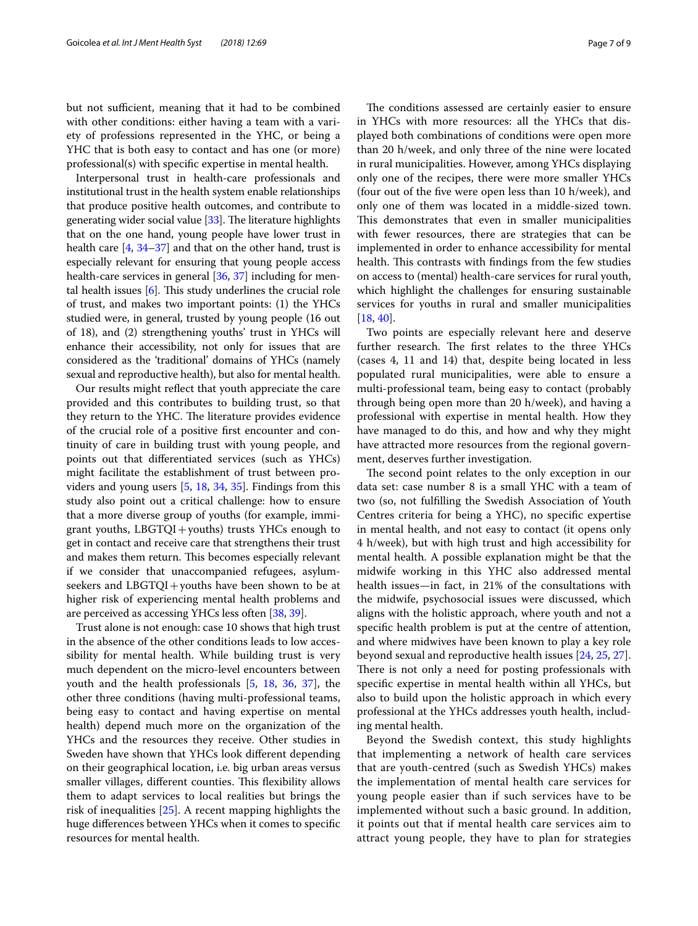but not sufficient, meaning that it had to be combined with other conditions: either having a team with a variety of professions represented in the YHC, or being a YHC that is both easy to contact and has one (or more) professional(s) with specifc expertise in mental health.

Interpersonal trust in health-care professionals and institutional trust in the health system enable relationships that produce positive health outcomes, and contribute to generating wider social value  $[33]$  $[33]$ . The literature highlights that on the one hand, young people have lower trust in health care [\[4,](#page-8-3) [34](#page-8-28)[–37\]](#page-8-29) and that on the other hand, trust is especially relevant for ensuring that young people access health-care services in general [[36](#page-8-30), [37\]](#page-8-29) including for mental health issues  $[6]$  $[6]$ . This study underlines the crucial role of trust, and makes two important points: (1) the YHCs studied were, in general, trusted by young people (16 out of 18), and (2) strengthening youths' trust in YHCs will enhance their accessibility, not only for issues that are considered as the 'traditional' domains of YHCs (namely sexual and reproductive health), but also for mental health.

Our results might refect that youth appreciate the care provided and this contributes to building trust, so that they return to the YHC. The literature provides evidence of the crucial role of a positive frst encounter and continuity of care in building trust with young people, and points out that diferentiated services (such as YHCs) might facilitate the establishment of trust between providers and young users [\[5,](#page-8-31) [18,](#page-8-12) [34,](#page-8-28) [35\]](#page-8-32). Findings from this study also point out a critical challenge: how to ensure that a more diverse group of youths (for example, immigrant youths,  $LBGTQI+youths)$  trusts YHCs enough to get in contact and receive care that strengthens their trust and makes them return. This becomes especially relevant if we consider that unaccompanied refugees, asylumseekers and  $LBGTQI+$ youths have been shown to be at higher risk of experiencing mental health problems and are perceived as accessing YHCs less often [[38](#page-8-33), [39\]](#page-8-34).

Trust alone is not enough: case 10 shows that high trust in the absence of the other conditions leads to low accessibility for mental health. While building trust is very much dependent on the micro-level encounters between youth and the health professionals [[5,](#page-8-31) [18](#page-8-12), [36](#page-8-30), [37\]](#page-8-29), the other three conditions (having multi-professional teams, being easy to contact and having expertise on mental health) depend much more on the organization of the YHCs and the resources they receive. Other studies in Sweden have shown that YHCs look diferent depending on their geographical location, i.e. big urban areas versus smaller villages, different counties. This flexibility allows them to adapt services to local realities but brings the risk of inequalities [[25\]](#page-8-18). A recent mapping highlights the huge diferences between YHCs when it comes to specifc resources for mental health.

The conditions assessed are certainly easier to ensure in YHCs with more resources: all the YHCs that displayed both combinations of conditions were open more than 20 h/week, and only three of the nine were located in rural municipalities. However, among YHCs displaying only one of the recipes, there were more smaller YHCs (four out of the fve were open less than 10 h/week), and only one of them was located in a middle-sized town. This demonstrates that even in smaller municipalities with fewer resources, there are strategies that can be implemented in order to enhance accessibility for mental health. This contrasts with findings from the few studies on access to (mental) health-care services for rural youth, which highlight the challenges for ensuring sustainable services for youths in rural and smaller municipalities [[18,](#page-8-12) [40](#page-8-35)].

Two points are especially relevant here and deserve further research. The first relates to the three YHCs (cases 4, 11 and 14) that, despite being located in less populated rural municipalities, were able to ensure a multi-professional team, being easy to contact (probably through being open more than 20 h/week), and having a professional with expertise in mental health. How they have managed to do this, and how and why they might have attracted more resources from the regional government, deserves further investigation.

The second point relates to the only exception in our data set: case number 8 is a small YHC with a team of two (so, not fulflling the Swedish Association of Youth Centres criteria for being a YHC), no specifc expertise in mental health, and not easy to contact (it opens only 4 h/week), but with high trust and high accessibility for mental health. A possible explanation might be that the midwife working in this YHC also addressed mental health issues—in fact, in 21% of the consultations with the midwife, psychosocial issues were discussed, which aligns with the holistic approach, where youth and not a specifc health problem is put at the centre of attention, and where midwives have been known to play a key role beyond sexual and reproductive health issues [[24](#page-8-26), [25,](#page-8-18) [27](#page-8-20)]. There is not only a need for posting professionals with specifc expertise in mental health within all YHCs, but also to build upon the holistic approach in which every professional at the YHCs addresses youth health, including mental health.

Beyond the Swedish context, this study highlights that implementing a network of health care services that are youth-centred (such as Swedish YHCs) makes the implementation of mental health care services for young people easier than if such services have to be implemented without such a basic ground. In addition, it points out that if mental health care services aim to attract young people, they have to plan for strategies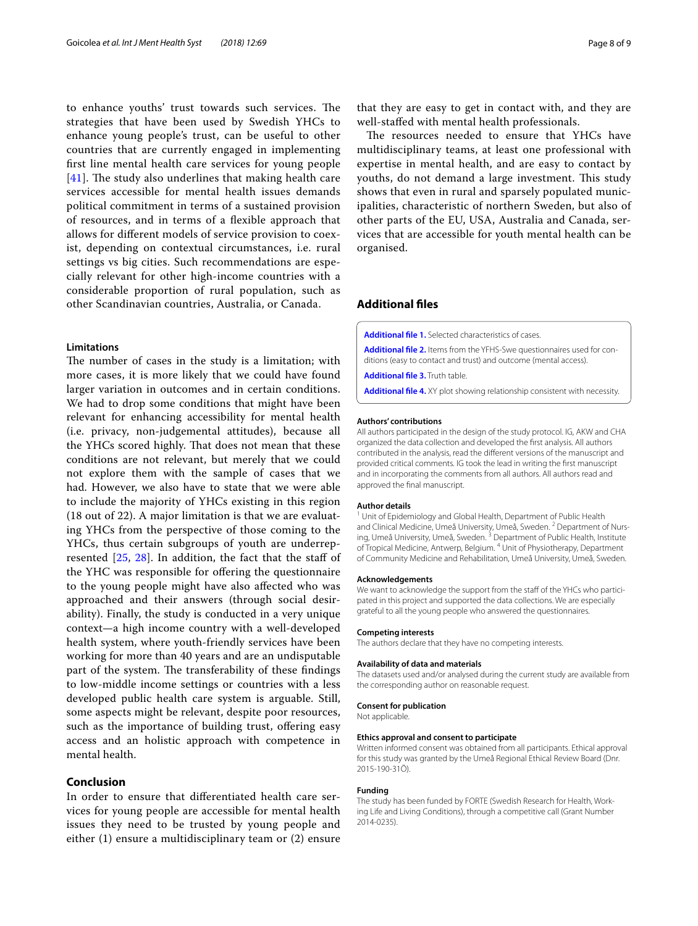to enhance youths' trust towards such services. The strategies that have been used by Swedish YHCs to enhance young people's trust, can be useful to other countries that are currently engaged in implementing frst line mental health care services for young people  $[41]$  $[41]$  $[41]$ . The study also underlines that making health care services accessible for mental health issues demands political commitment in terms of a sustained provision of resources, and in terms of a fexible approach that allows for diferent models of service provision to coexist, depending on contextual circumstances, i.e. rural settings vs big cities. Such recommendations are especially relevant for other high-income countries with a considerable proportion of rural population, such as other Scandinavian countries, Australia, or Canada.

#### **Limitations**

The number of cases in the study is a limitation; with more cases, it is more likely that we could have found larger variation in outcomes and in certain conditions. We had to drop some conditions that might have been relevant for enhancing accessibility for mental health (i.e. privacy, non-judgemental attitudes), because all the YHCs scored highly. That does not mean that these conditions are not relevant, but merely that we could not explore them with the sample of cases that we had. However, we also have to state that we were able to include the majority of YHCs existing in this region (18 out of 22). A major limitation is that we are evaluating YHCs from the perspective of those coming to the YHCs, thus certain subgroups of youth are underrepresented  $[25, 28]$  $[25, 28]$  $[25, 28]$  $[25, 28]$ . In addition, the fact that the staff of the YHC was responsible for offering the questionnaire to the young people might have also afected who was approached and their answers (through social desirability). Finally, the study is conducted in a very unique context—a high income country with a well-developed health system, where youth-friendly services have been working for more than 40 years and are an undisputable part of the system. The transferability of these findings to low-middle income settings or countries with a less developed public health care system is arguable. Still, some aspects might be relevant, despite poor resources, such as the importance of building trust, offering easy access and an holistic approach with competence in mental health.

# **Conclusion**

In order to ensure that diferentiated health care services for young people are accessible for mental health issues they need to be trusted by young people and either (1) ensure a multidisciplinary team or (2) ensure

that they are easy to get in contact with, and they are well-stafed with mental health professionals.

The resources needed to ensure that YHCs have multidisciplinary teams, at least one professional with expertise in mental health, and are easy to contact by youths, do not demand a large investment. This study shows that even in rural and sparsely populated municipalities, characteristic of northern Sweden, but also of other parts of the EU, USA, Australia and Canada, services that are accessible for youth mental health can be organised.

# **Additional fles**

<span id="page-7-1"></span><span id="page-7-0"></span>**[Additional fle 1.](https://doi.org/10.1186/s13033-018-0249-4)** Selected characteristics of cases.

<span id="page-7-2"></span>Additional file 2. Items from the YFHS-Swe questionnaires used for conditions (easy to contact and trust) and outcome (mental access).

<span id="page-7-3"></span>**[Additional fle 3.](https://doi.org/10.1186/s13033-018-0249-4)** Truth table.

**[Additional fle 4.](https://doi.org/10.1186/s13033-018-0249-4)** XY plot showing relationship consistent with necessity.

#### **Authors' contributions**

All authors participated in the design of the study protocol. IG, AKW and CHA organized the data collection and developed the frst analysis. All authors contributed in the analysis, read the diferent versions of the manuscript and provided critical comments. IG took the lead in writing the frst manuscript and in incorporating the comments from all authors. All authors read and approved the fnal manuscript.

#### **Author details**

<sup>1</sup> Unit of Epidemiology and Global Health, Department of Public Health and Clinical Medicine, Umeå University, Umeå, Sweden. <sup>2</sup> Department of Nursing, Umeå University, Umeå, Sweden.<sup>3</sup> Department of Public Health, Institute of Tropical Medicine, Antwerp, Belgium. 4 Unit of Physiotherapy, Department of Community Medicine and Rehabilitation, Umeå University, Umeå, Sweden.

#### **Acknowledgements**

We want to acknowledge the support from the staff of the YHCs who participated in this project and supported the data collections. We are especially grateful to all the young people who answered the questionnaires.

#### **Competing interests**

The authors declare that they have no competing interests.

#### **Availability of data and materials**

The datasets used and/or analysed during the current study are available from the corresponding author on reasonable request.

#### **Consent for publication**

Not applicable.

#### **Ethics approval and consent to participate**

Written informed consent was obtained from all participants. Ethical approval for this study was granted by the Umeå Regional Ethical Review Board (Dnr. 2015-190-31Ö).

#### **Funding**

The study has been funded by FORTE (Swedish Research for Health, Working Life and Living Conditions), through a competitive call (Grant Number 2014-0235).